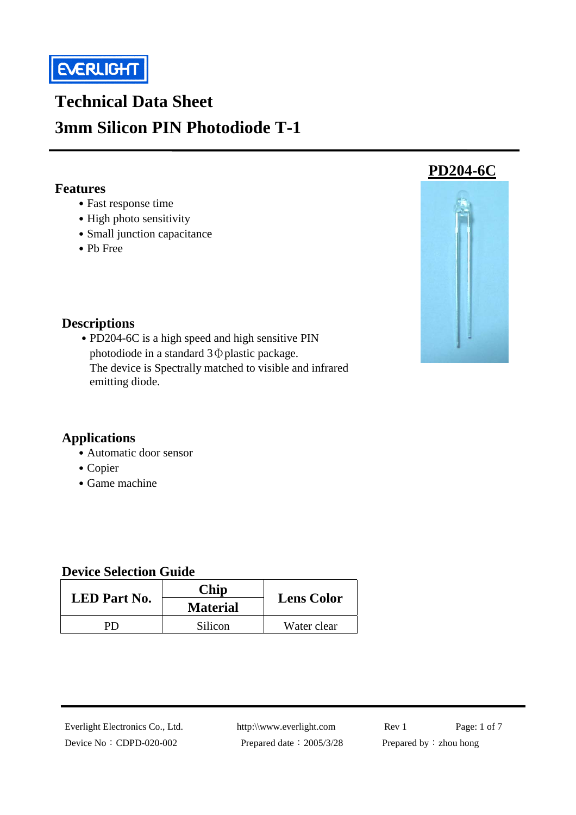

# **Technical Data Sheet 3mm Silicon PIN Photodiode T-1**

#### **Features**

- ․Fast response time
- High photo sensitivity
- Small junction capacitance
- ․Pb Free



#### **Descriptions**

• PD204-6C is a high speed and high sensitive PIN photodiode in a standard 3Φplastic package. The device is Spectrally matched to visible and infrared emitting diode.

#### **Applications**

- Automatic door sensor
- Copier
- Game machine

#### **Device Selection Guide**

| <b>LED</b> Part No. | <b>Chip</b><br><b>Material</b> | <b>Lens Color</b> |  |
|---------------------|--------------------------------|-------------------|--|
| DГ                  | Silicon                        | Water clear       |  |

Device No: CDPD-020-002 Prepared date: 2005/3/28 Prepared by: zhou hong

Everlight Electronics Co., Ltd. http:\\www.everlight.com Rev 1 Page: 1 of 7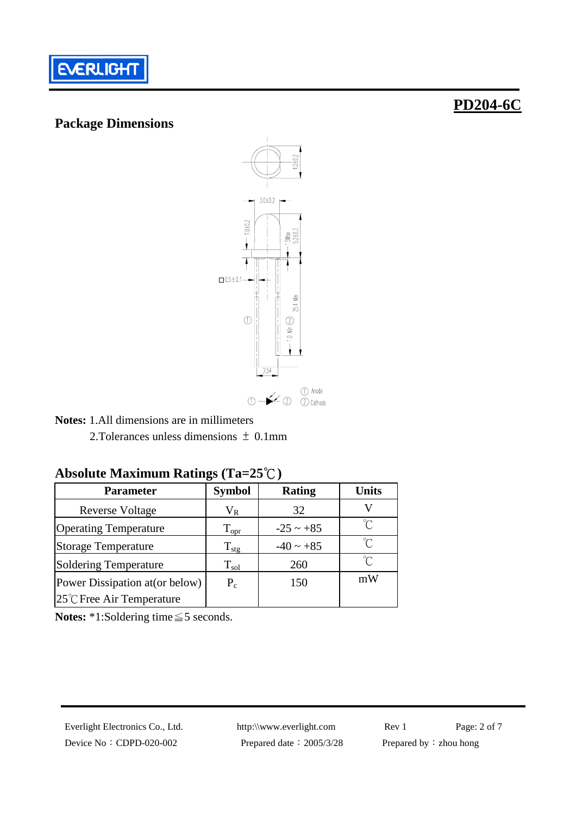

#### **Package Dimensions**

# **PD204-6C**



**Notes:** 1.All dimensions are in millimeters

2.Tolerances unless dimensions <sup>±</sup> 0.1mm

### **Absolute Maximum Ratings (Ta=25**℃**)**

| <b>Parameter</b>                | <b>Symbol</b>     | <b>Rating</b>  | <b>Units</b>        |
|---------------------------------|-------------------|----------------|---------------------|
| <b>Reverse Voltage</b>          | $\rm V_R$         | 32             |                     |
| <b>Operating Temperature</b>    | $\rm T_{\rm opr}$ | $-25 \sim +85$ | $\int_{\gamma}$     |
| <b>Storage Temperature</b>      | $\rm T_{\rm stg}$ | $-40 \sim +85$ | $\int_{0}^{\infty}$ |
| <b>Soldering Temperature</b>    | $\rm T_{sol}$     | 260            | °∩°                 |
| Power Dissipation at (or below) | $P_c$             | 150            | mW                  |
| 25°C Free Air Temperature       |                   |                |                     |

**Notes:** \*1:Soldering time≦5 seconds.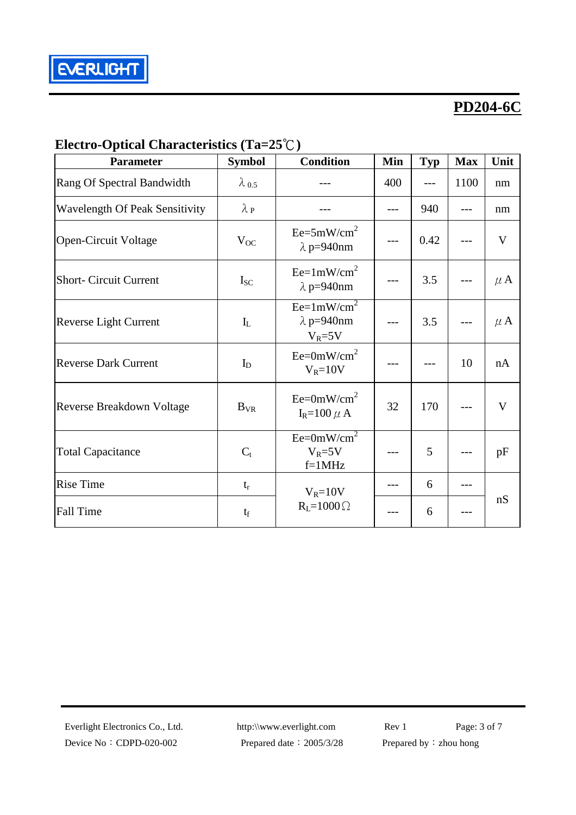

### **Electro-Optical Characteristics (Ta=25**℃**)**

| <b>Parameter</b>                      | <b>Symbol</b>     | <b>Condition</b>                                 | Min | <b>Typ</b> | <b>Max</b> | Unit    |
|---------------------------------------|-------------------|--------------------------------------------------|-----|------------|------------|---------|
| Rang Of Spectral Bandwidth            | $\lambda_{0.5}$   |                                                  | 400 |            | 1100       | nm      |
| <b>Wavelength Of Peak Sensitivity</b> | $\lambda_{\rm P}$ |                                                  |     | 940        |            | nm      |
| <b>Open-Circuit Voltage</b>           | $V_{OC}$          | $Ee=5mW/cm^2$<br>$\lambda$ p=940nm               |     | 0.42       |            | V       |
| <b>Short- Circuit Current</b>         | $I_{SC}$          | $Ee=1mW/cm^2$<br>$\lambda$ p=940nm               |     | 3.5        |            | $\mu$ A |
| Reverse Light Current                 | $I_{L}$           | $Ee=1mW/cm^2$<br>$\lambda$ p=940nm<br>$V_R = 5V$ |     | 3.5        |            | $\mu$ A |
| <b>Reverse Dark Current</b>           | $I_D$             | $Ee=0mW/cm^2$<br>$V_R = 10V$                     |     |            | 10         | nA      |
| Reverse Breakdown Voltage             | $B_{VR}$          | $Ee=0mW/cm^2$<br>$I_R=100 \mu A$                 | 32  | 170        |            | V       |
| <b>Total Capacitance</b>              | $C_{t}$           | $Ee=0mW/cm^2$<br>$V_R = 5V$<br>$f=1MHz$          |     | 5          |            | pF      |
| <b>Rise Time</b>                      | $t_r$             | $V_R = 10V$                                      |     | 6          |            |         |
| <b>Fall Time</b>                      | $t_f$             | $R_L = 1000 \Omega$                              |     | 6          |            | nS      |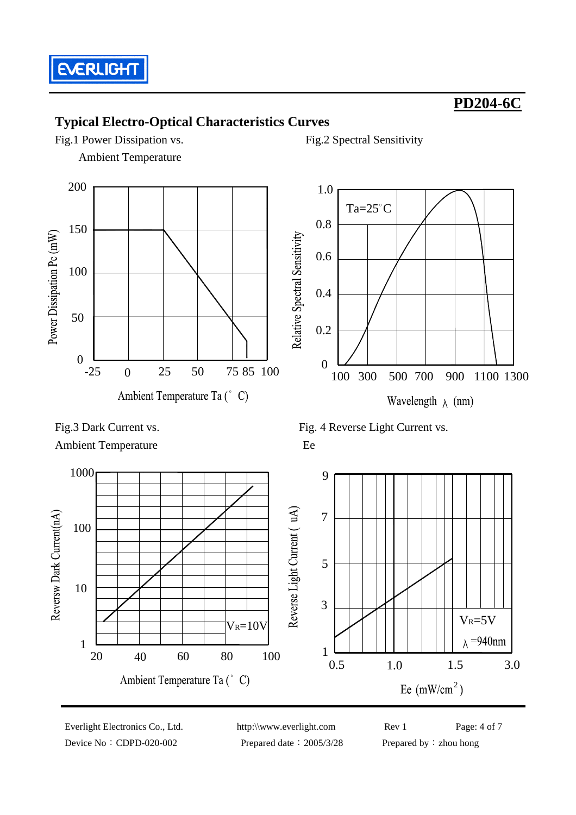

### **Typical Electro-Optical Characteristics Curves**

Fig.1 Power Dissipation vs. Fig.2 Spectral Sensitivity Ambient Temperature





Ambient Temperature Ee

Fig. 3 Dark Current vs. Fig. 4 Reverse Light Current vs.



Device No: CDPD-020-002 Prepared date: 2005/3/28 Prepared by: zhou hong

Everlight Electronics Co., Ltd. http:\\www.everlight.com Rev 1 Page: 4 of 7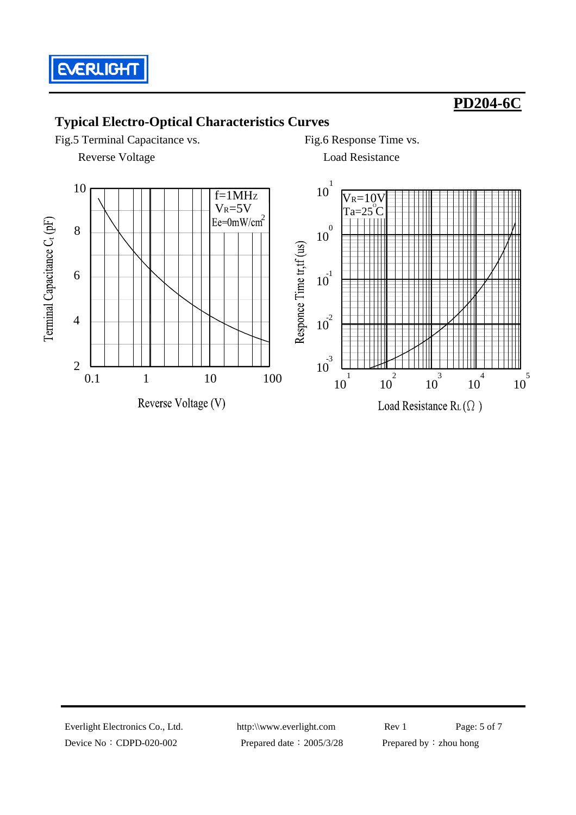

### **Typical Electro-Optical Characteristics Curves**

Fig.5 Terminal Capacitance vs. Fig.6 Response Time vs.

**Reverse Voltage Load Resistance** 





Device No: CDPD-020-002 Prepared date: 2005/3/28 Prepared by: zhou hong

Everlight Electronics Co., Ltd. http:\\www.everlight.com Rev 1 Page: 5 of 7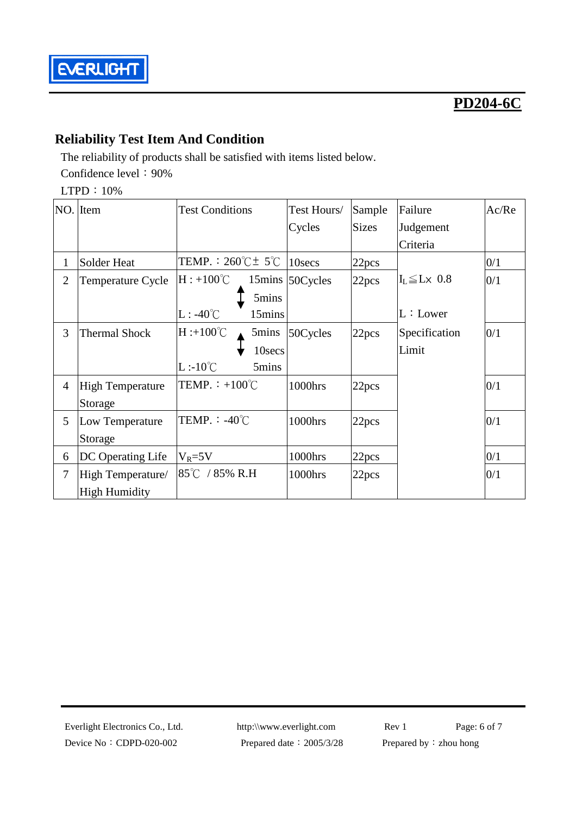

### **Reliability Test Item And Condition**

The reliability of products shall be satisfied with items listed below. Confidence level: 90%

LTPD:10%

|                | NO. Item                | <b>Test Conditions</b>                 | Test Hours/ | Sample            | Failure                                          | Ac/Re |
|----------------|-------------------------|----------------------------------------|-------------|-------------------|--------------------------------------------------|-------|
|                |                         |                                        | Cycles      | <b>Sizes</b>      | Judgement                                        |       |
|                |                         |                                        |             |                   | Criteria                                         |       |
| 1              | Solder Heat             | TEMP. : $260^{\circ}$ C $\pm$ 5°C      | 10secs      | 22 <sub>pcs</sub> |                                                  | 0/1   |
| $\overline{2}$ | Temperature Cycle       | $H: +100^{\circ}C$<br>$15 \text{mins}$ | 50Cycles    | 22pcs             | $\mathbf{I}_\text{L} \leq \mathbf{L} \times 0.8$ | 0/1   |
|                |                         | 5mins                                  |             |                   |                                                  |       |
|                |                         | $L: -40^{\circ}C$<br>15mins            |             |                   | L:Lower                                          |       |
| 3              | <b>Thermal Shock</b>    | $H : +100^{\circ}C$<br>5mins           | 50Cycles    | 22pcs             | Specification                                    | 0/1   |
|                |                         | 10secs                                 |             |                   | Limit                                            |       |
|                |                         | $L:10^{\circ}C$<br>5mins               |             |                   |                                                  |       |
| $\overline{4}$ | <b>High Temperature</b> | TEMP. $\div$ +100°C                    | 1000hrs     | 22pcs             |                                                  | 0/1   |
|                | Storage                 |                                        |             |                   |                                                  |       |
| 5              | Low Temperature         | TEMP. : $-40^{\circ}$ C                | 1000hrs     | 22pcs             |                                                  | 0/1   |
|                | Storage                 |                                        |             |                   |                                                  |       |
| 6              | DC Operating Life       | $V_R = 5V$                             | 1000hrs     | 22 <sub>pcs</sub> |                                                  | 0/1   |
| 7              | High Temperature/       | 85℃ / 85% R.H                          | 1000hrs     | 22pcs             |                                                  | 0/1   |
|                | <b>High Humidity</b>    |                                        |             |                   |                                                  |       |